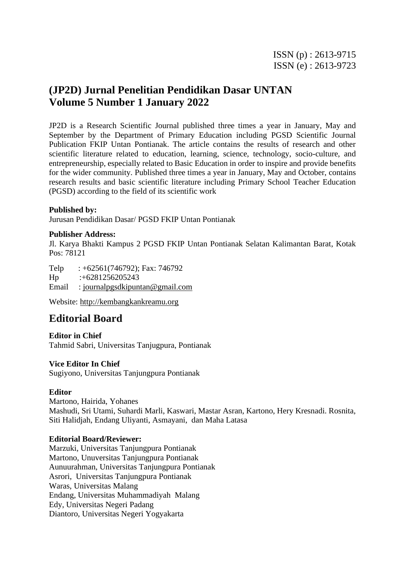# **(JP2D) Jurnal Penelitian Pendidikan Dasar UNTAN Volume 5 Number 1 January 2022**

JP2D is a Research Scientific Journal published three times a year in January, May and September by the Department of Primary Education including PGSD Scientific Journal Publication FKIP Untan Pontianak. The article contains the results of research and other scientific literature related to education, learning, science, technology, socio-culture, and entrepreneurship, especially related to Basic Education in order to inspire and provide benefits for the wider community. Published three times a year in January, May and October, contains research results and basic scientific literature including Primary School Teacher Education (PGSD) according to the field of its scientific work

#### **Published by:**

Jurusan Pendidikan Dasar/ PGSD FKIP Untan Pontianak

#### **Publisher Address:**

Jl. Karya Bhakti Kampus 2 PGSD FKIP Untan Pontianak Selatan Kalimantan Barat, Kotak Pos: 78121

Telp : +62561(746792); Fax: 746792 Hp :+6281256205243 Email : [journalpgsdkipuntan@gmail.com](mailto:journalpgsdkipuntan@gmail.com)

Website: [http://kembangkankreamu.org](http://kembangkankreamu.org/)

## **Editorial Board**

**Editor in Chief** Tahmid Sabri, Universitas Tanjugpura, Pontianak

#### **Vice Editor In Chief**

Sugiyono, Universitas Tanjungpura Pontianak

#### **Editor**

Martono, Hairida, Yohanes Mashudi, Sri Utami, Suhardi Marli, Kaswari, Mastar Asran, Kartono, Hery Kresnadi. Rosnita, Siti Halidjah, Endang Uliyanti, Asmayani, dan Maha Latasa

#### **Editorial Board/Reviewer:**

Marzuki, Universitas Tanjungpura Pontianak Martono, Unuversitas Tanjungpura Pontianak Aunuurahman, Universitas Tanjungpura Pontianak Asrori, Universitas Tanjungpura Pontianak Waras, Universitas Malang Endang, Universitas Muhammadiyah Malang Edy, Universitas Negeri Padang Diantoro, Universitas Negeri Yogyakarta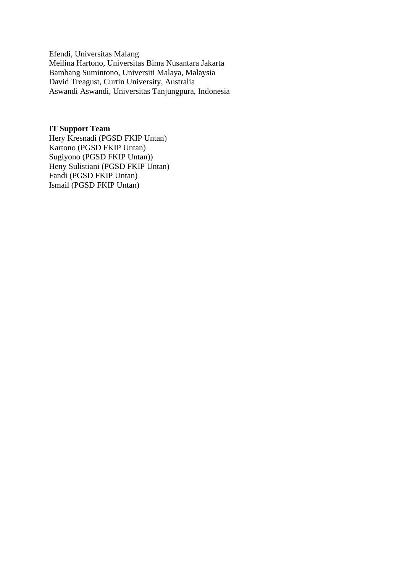Efendi, Universitas Malang Meilina Hartono, Universitas Bima Nusantara Jakarta [Bambang Sumintono,](javascript:openRTWindow() Universiti Malaya, Malaysia [David Treagust,](javascript:openRTWindow() Curtin University, Australia [Aswandi Aswandi,](javascript:openRTWindow() Universitas Tanjungpura, Indonesia

#### **IT Support Team**

Hery Kresnadi (PGSD FKIP Untan) Kartono (PGSD FKIP Untan) Sugiyono (PGSD FKIP Untan)) Heny Sulistiani (PGSD FKIP Untan) Fandi (PGSD FKIP Untan) Ismail (PGSD FKIP Untan)